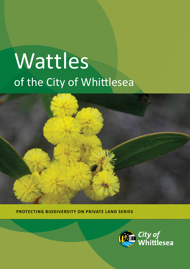# Wattles of the City of Whittlesea



**Protecting Biodiversity on Private Land SERIES**

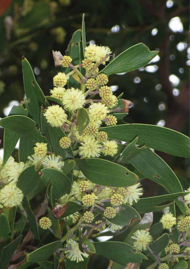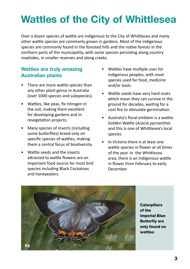## Wattles of the City of Whittlesea

Over a dozen species of wattle are indigenous to the City of Whittlesea and many other wattle species are commonly grown in gardens. Most of the indigenous species are commonly found in the forested hills and the native forests in the northern parts of the municipality, with some species persisting along country roadsides, in smaller reserves and along creeks.

#### Wattles are truly amazing Australian plants

- There are more wattle species than any other plant genus in Australia (over 1000 species and subspecies).
- Wattles, like peas, fix nitrogen in the soil, making them excellent for developing gardens and in revegetation projects.
- Many species of insects (including some butterflies) breed only on specific species of wattles, making them a central focus of biodiversity.
- Wattle seeds and the insects attracted to wattle flowers are an important food source for most bird species including Black Cockatoos and honeyeaters.
- Wattles have multiple uses for indigenous peoples, with most species used for food, medicine and/or tools.
- Wattle seeds have very hard coats which mean they can survive in the ground for decades, waiting for a cool fire to stimulate germination.
- Australia's floral emblem is a wattle: Golden Wattle (*Acacia pycnantha*) and this is one of Whittlesea's local species
- In Victoria there is at least one wattle species in flower at all times of the year. In the Whittlesea area, there is an indigenous wattle in flower from February to early December.



**Caterpillars** of the Imperial Blue Butterfly are only found on wattles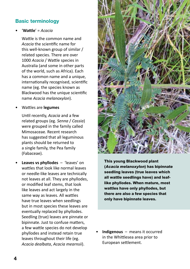#### Basic terminology

#### • '**Wattle**' = *Acacia*

Wattle is the common name and *Acacia* the scientific name for this well-known group of similar / related species. There are over 1000 *Acacia* / Wattle species in Australia (and some in other parts of the world, such as Africa). Each has a common name and a unique, internationally recognised, scientific name (eg. the species known as Blackwood has the unique scientific name *Acacia melanoxylon*).

#### • Wattles are **legumes**

Until recently, *Acacia* and a few related groups (eg. *Senna* / *Cassia*) were grouped in the family called Mimosaceae. Recent research has suggested that all leguminous plants should be returned to a single family, the Pea family (Fabaceae).

• **Leaves vs phyllodes** – 'leaves' on wattles that look like normal leaves or needle-like leaves are technically not leaves at all. They are phyllodes, or modified leaf stems, that look like leaves and act largely in the same way as leaves. All wattles have true leaves when seedlings but in most species these leaves are eventually replaced by phyllodes. Seedling (true) leaves are pinnate or bipinnate. Just to confuse matters, a few wattle species do not develop phyllodes and instead retain true leaves throughout their life (eg. *Acacia dealbata*, *Acacia mearnsii*).



This young Blackwood plant (Acacia melanoxylon) has bipinnate seedling leaves (true leaves which all wattle seedlings have) and leaflike phyllodes. When mature, most wattles have only phyllodes, but there are also a few species that only have bipinnate leaves.

• **Indigenous** – means it occurred in the Whittlesea area prior to European settlement.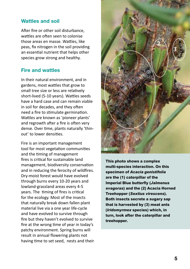#### Wattles and soil

After fire or other soil disturbance, wattles are often seen to colonise those areas en masse. Wattles, like peas, fix nitrogen in the soil providing an essential nutrient that helps other species grow strong and healthy.

#### Fire and wattles

In their natural environment, and in gardens, most wattles that grow to small tree size or less are relatively short-lived (5-10 years). Wattles seeds have a hard case and can remain viable in soil for decades, and they often need a fire to stimulate germination. Wattles are known as 'pioneer plants' and regrowth after a fire is often very dense. Over time, plants naturally 'thinout' to lower densities.

Fire is an important management tool for most vegetation communities and the timing of management fires is critical for sustainable land management, biodiversity conservation and in reducing the ferocity of wildfires. Dry-moist forest would have evolved through burns every 10-20 years and lowland-grassland areas every 4-5 years. The timing of fires is critical for the ecology. Most of the insects that naturally break down fallen plant material live via a one year life-cycle and have evolved to survive through fire but they haven't evolved to survive fire at the wrong time of year in today's patchy environment. Spring burns will result in annual flowering plants not having time to set seed, nests and their



This photo shows a complex multi-species interaction. On this specimen of Acacia genistifolia are the (1) caterpillar of the Imperial Blue butterfly (Jalmenus evagoras) and the (2) Acacia Horned Treehopper (Sextius virescens). Both insects secrete a sugary sap that is harvested by (3) meat ants (Iridomyrmex species) which, in turn, look after the caterpillar and treehopper.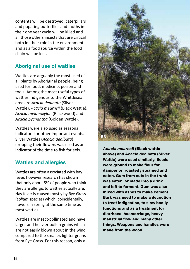contents will be destroyed, caterpillars and pupating butterflies and moths in their one year cycle will be killed and all those others insects that are critical both in their role in the environment and as a food source within the food chain will be lost.

#### Aboriginal use of wattles

Wattles are arguably the most used of all plants by Aboriginal people, being used for food, medicine, poison and tools. Among the most useful types of wattles indigenous to the Whittlesea area are *Acacia dealbata* (Silver Wattle), *Acacia mearnsii* (Black Wattle), *Acacia melanoxylon* (Blackwood) and *Acacia pycnantha* (Golden Wattle).

Wattles were also used as seasonal indicators for other important events. Silver Wattles (*Acacia dealbata*) dropping their flowers was used as an indicator of the time to fish for eels.

#### Wattles and allergies

Wattles are often associated with hay fever, however research has shown that only about 5% of people who think they are allergic to wattles actually are. Hay fever is caused mostly by Rye Grass (*Lolium* species) which, coincidentally, flowers in spring at the same time as most wattles.

Wattles are insect-pollinated and have larger and heavier pollen grains which are not easily blown about in the wind compared to the smaller, lighter grains from Rye Grass. For this reason, only a



Acacia mearnsii (Black wattle above) and Acacia dealbata (Silver Wattle) were used similarly. Seeds were ground to make flour for damper or roasted / steamed and eaten. Gum from cuts in the trunk was eaten, or made into a drink and left to ferment. Gum was also mixed with ashes to make cement. Bark was used to make a decoction to treat indigestion, to slow bodily functions and as a treatment for diarrhoea, haemorrhage, heavy menstrual flow and many other things. Weapons and handles were made from the wood.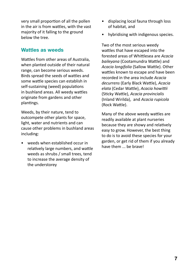very small proportion of all the pollen in the air is from wattles, with the vast majority of it falling to the ground below the tree.

#### Wattles as weeds

Wattles from other areas of Australia, when planted outside of their natural range, can become serious weeds. Birds spread the seeds of wattles and some wattle species can establish in self-sustaining (weed) populations in bushland areas. All weedy wattles originate from gardens and other plantings.

Weeds, by their nature, tend to outcompete other plants for space, light, water and nutrients and can cause other problems in bushland areas including:

• weeds when established occur in relatively large numbers, and wattle weeds as shrubs / small trees, tend to increase the average density of the understorey

- displacing local fauna through loss of habitat, and
- hybridising with indigenous species.

Two of the most serious weedy wattles that have escaped into the forested areas of Whittlesea are *Acacia baileyana* (Cootamundra Wattle) and *Acacia longifolia* (Sallow Wattle). Other wattles known to escape and have been recorded in the area include *Acacia decurrens* (Early Black Wattle), *Acacia elata* (Cedar Wattle), *Acacia howittii* (Sticky Wattle), *Acacia provincialis* (Inland Wirilda), and *Acacia rupicola* (Rock Wattle).

Many of the above weedy wattles are readily available at plant nurseries because they are showy and relatively easy to grow. However, the best thing to do is to avoid these species for your garden, or get rid of them if you already have them ... be brave!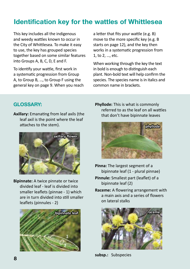### Identification key for the wattles of Whittlesea

This key includes all the indigenous and weedy wattles known to occur in the City of Whittlesea. To make it easy to use, the key has grouped species together based on some similar features into Groups A, B, C, D, E and F.

To identify your wattle, first work in a systematic progression from Group A, to Group B, …, to Group F using the general key on page 9. When you reach a letter that fits your wattle (e.g. B) move to the more specific key (e.g. B starts on page 12), and the key then works in a systematic progression from 1, to 2, …, etc.

When working through the key the text in bold is enough to distinguish each plant. Non-bold text will help confirm the species. The species name is in italics and common name in brackets.

#### GLOSSARY:

**Axillary:** Emanating from leaf axils (the leaf axil is the point where the leaf attaches to the stem).



**Bipinnate:** A twice pinnate or twice divided leaf - leaf is divided into smaller leaflets (pinnae - 1) which are in turn divided into still smaller leaflets (pinnules - 2)



**Phyllode:** This is what is commonly referred to as the leaf on all wattles that don't have bipinnate leaves



- **Pinna:** The largest segment of a bipinnate leaf (1 - plural pinnae)
- **Pinnule:** Smallest part (leaflet) of a bipinnate leaf (2)
- **Raceme:** A flowering arrangement with a main axis and a series of flowers on lateral stalks



**subsp.:** Subspecies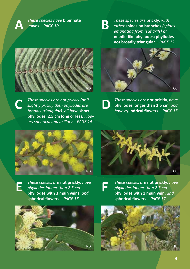

**C**

*Fhese species have bipinnate* **leaves** – *PAGE 10* 



*These species are not prickly (or if slightly prickly then phyllodes are broadly triangular), all have* **short phyllodes***,* **2.5 cm long or less***. Flowers spherical and axillary – PAGE 14*







*These species are* **prickly***, with either* **spines on branches** *(spines emanating from leaf axils)* **or needle-like phyllodes; phyllodes not broadly triangular** *– PAGE 12* 



**b** *These species are not prickly, have* **phyllodes longer than 2.5 cm**, and *have cylindrical flowers – PAGE 15 have* **cylindrical flowers** *– PAGE 15*





**B**

*These species are* **not prickly***, have phyllodes longer than 2.5 cm,*  **phyllodes with 1 main vein,** *and*  **spherical flowers** *– PAGE 17*

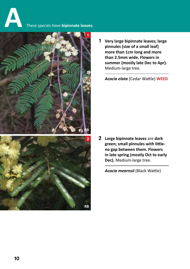**A***These species have* **bipinnate leaves***.*



**1 Very large bipinnate leaves; large pinnules (size of a small leaf) more than 1cm long and more than 2.5mm wide. Flowers in summer (mostly late Dec to Apr).**  Medium-large tree.

#### *Acacia elata* (Cedar Wattle) **WEED**

**2 Large bipinnate leaves** are **dark green; small pinnules with littleno gap between them. Flowers in late spring (mostly Oct to early Dec).** Medium-large tree.

*Acacia mearnsii* (Black Wattle)

**RB**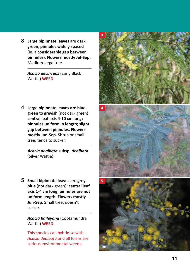**3 Large bipinnate leaves** are **dark green**, **pinnules widely spaced**  (ie. a **considerable gap between pinnules**). **Flowers mostly Jul-Sep.** Medium-large tree.

*Acacia decurrens* (Early Black Wattle) WEI

**4 Large bipinnate leaves are bluegreen to greyish** (not dark green); **central leaf axis 4-10 cm long; pinnules uniform in length; slight gap between pinnules. Flowers mostly Jun-Sep.** Shrub or small tree; tends to sucker.

*Acacia dealbata* **subsp.** *dealbata* (Silver Wattle).

**5 Small bipinnate leaves are greyblue** (not dark green)**; central leaf axis 1-4 cm long; pinnules are not uniform length. Flowers mostly Jun-Sep.** Small tree; doesn't sucker.

*Acacia baileyana* (Cootamundra Wattle) WEI

This species can hybridise with *Acacia dealbata* and all forms are serious environmental weeds.

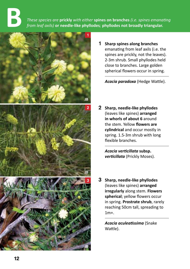These species are prickly with either spines on branches *(i.e. spines emanating from leaf axils)* or needle-like phyllodes: phyllodes not broadly triangular.





**1 Sharp spines along branches** emanating from leaf axils (i.e. the spines are prickly, not the leaves). 2-3m shrub. Small phyllodes held close to branches. Large golden spherical flowers occur in spring.

*Acacia paradoxa* (Hedge Wattle). **JB**

**2 Sharp, needle-like phyllodes** (leaves like spines) **arranged in whorls of about 6** around the stem. Yellow **flowers are cylindrical** and occur mostly in spring. 1.5-3m shrub with long flexible branches.

*Acacia verticillata* **subsp.** *verticillata* (Prickly Moses).

**3 Sharp, needle-like phyllodes** (leaves like spines) **arranged irregularly** along stem. **Flowers spherical**; yellow flowers occur in spring. **Prostrate shrub**, rarely reaching 50cm tall, spreading to 1m+.

*Acacia aculeatissima* (Snake Wattle).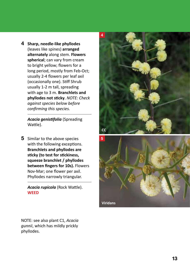**4 Sharp, needle-like phyllodes** (leaves like spines) **arranged alternately** along stem. **Flowers spherical**; can vary from cream to bright yellow; flowers for a long period, mostly from Feb-Oct; usually 2-4 flowers per leaf axil (occasionally one). Stiff Shrub usually 1-2 m tall, spreading with age to 3 m. **Branchlets and phyllodes not sticky**. *NOTE: Check against species below before confirming this species.*

*Acacia genistifolia* (Spreading Wattle).

**5** Similar to the above species with the following exceptions. **Branchlets and phyllodes are sticky (to test for stickiness, squeeze branchlet / phyllodes between fingers for 10s).** Flowers Nov-Mar; one flower per axil. Phyllodes narrowly triangular.

*Acacia rupicola* (Rock Wattle). **WEED**

NOTE: see also plant C1, *Acacia gunnii*, which has mildly prickly phyllodes.



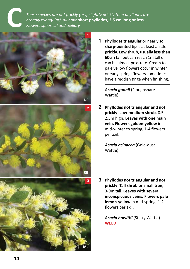*These species are not prickly (or if slightly prickly then phyllodes are broadly triangular), all have* **short phyllodes, 2.5 cm long or less.** *Flowers spherical and axillary.*







**1 Phyllodes triangular** or nearly so; **sharp-pointed tip** is at least a little **prickly**. **Low shrub, usually less than 60cm tall** but can reach 1m tall or can be almost prostrate. Cream to pale yellow flowers occur in winter or early spring; flowers sometimes have a reddish tinge when finishing.

*Acacia gunnii* (Ploughshare Wattle).

**2 Phyllodes not triangular and not prickly**. **Low-medium shrub**, 0.5- 2.5m high. **Leaves with one main vein. Flowers golden-yellow** in mid-winter to spring, 1-4 flowers per axil.

*Acacia acinacea* (Gold-dust Wattle).

**3 Phyllodes not triangular and not prickly**. **Tall shrub or small tree**, 3-9m tall. **Leaves with several inconspicuous veins. Flowers pale lemon-yellow** in mid-spring. 1-2 flowers per axil.

*Acacia howittii* (Sticky Wattle). **WEED**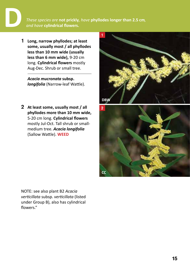**1 Long, narrow phyllodes; at least some, usually most / all phyllodes less than 10 mm wide (usually less than 6 mm wide),** 9-20 cm long. **Cylindrical flowers** mostly Aug-Dec. Shrub or small tree.

**D**

*Acacia mucronata* **subsp.** *longifolia* (Narrow-leaf Wattle).

**2 At least some, usually most / all phyllodes more than 10 mm wide,**  5-20 cm long. **Cylindrical flowers**  mostly Jul-Oct. Tall shrub or smallmedium tree. *Acacia longifolia* (Sallow Wattle). **WEED**





NOTE: see also plant B2 *Acacia verticillata* subsp*. verticillata* (listed under Group B), also has cylindrical flowers."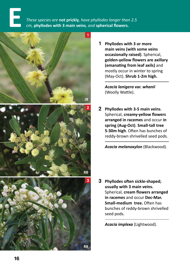*These species are* **not prickly***, have phyllodes longer than 2.5 cm,* **phyllodes with 3 main veins***, and* **spherical flowers.**







**1 Phyllodes with 3 or more main veins (with some veins occasionally raised)**. Spherical, **golden-yellow flowers are axillary (emanating from leaf axils)** and mostly occur in winter to spring (May-Oct). **Shrub 1-2m high.**

*Acacia lanigera* **var.** *whanii*  (Woolly Wattle).

**2 Phyllodes with 3-5 main veins**. Spherical, **creamy-yellow flowers arranged in racemes** and occur **in spring (Aug-Oct)**. **Small-tall tree 5-30m high**. Often has bunches of reddy-brown shrivelled seed pods.

*Acacia melanoxylon* (Blackwood).

**3 Phyllodes often sickle-shaped; usually with 3 main veins.**  Spherical, **cream flowers arranged in racemes** and occur **Dec-Mar. Small-medium tree. Often has** bunches of reddy-brown shrivelled seed pods.

*Acacia implexa* (Lightwood).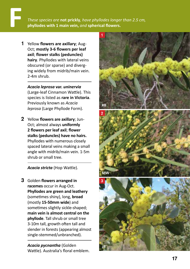**1** Yellow **flowers are axillary**; Aug-Oct; **mostly 3-6 flowers per leaf axil**; **flower stalks (peduncles) hairy**. Phyllodes with lateral veins obscured (or sparse) and diverging widely from midrib/main vein. 2-4m shrub.

**F**

*Acacia leprosa* **var.** *uninervia* (Large-leaf Cinnamon Wattle). This species is listed as **rare in Victoria**. Previously known as *Acacia leprosa* (Large Phyllode Form).

**2** Yellow **flowers are axillary**; Jun-Oct; almost always **uniformly 2 flowers per leaf axil**; **flower stalks (peduncles) have no hairs.** Phyllodes with numerous closely spaced lateral veins making a small angle with midrib/main vein. 1-5m shrub or small tree.

*Acacia stricta* (Hop Wattle).

**3** Golden **flowers arranged in racemes** occur in Aug-Oct. **Phyllodes are green and leathery**  (sometimes shiny), long, **broad** (mostly **15-50mm wide**) and sometimes slightly sickle-shaped; **main vein is almost central on the phyllode**. Tall shrub or small tree 3-10m tall, growth often tall and slender in forests (appearing almost single-stemmed/unbranched).

*Acacia pycnantha* (Golden Wattle). Australia's floral emblem.

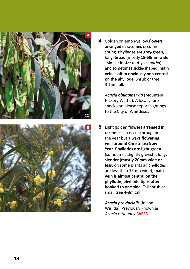



**4** Golden or lemon-yellow **flowers arranged in racemes** occur in spring. **Phyllodes are grey-green**, long, **broad** (mostly **15-50mm wide**  - similar in size to *A*. *pycnantha*) and sometimes sickle-shaped; **main vein is often obviously non-central on the phyllode**. Shrub or tree, 3-15m tall.

*Acacia obliquinervia* (Mountain Hickory Wattle). A locally rare species so please report sightings to the City of Whittlesea.

**5** Light golden **flowers arranged in racemes** can occur throughout the year but always **flowering well around Christmas/New Year**. **Phyllodes are light green**  (sometimes slightly greyish); long, **slender** (**mostly 20mm wide or less**; on some plants all phyllodes are less than 15mm wide); **main vein is almost central on the phyllode**; **phyllode tip is often hooked to one side**. Tall shrub or small tree 4-8m tall.

*Acacia provincialis* (Inland Wirilda). Previously known as Acacia retinodes. <mark>WE</mark>I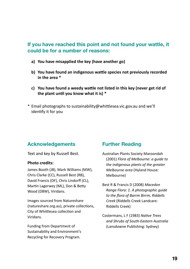#### If you have reached this point and not found your wattle, it could be for a number of reasons:

- **a) You have misapplied the key (have another go)**
- **b) You have found an indigenous wattle species not previously recorded in the area \***
- **c) You have found a weedy wattle not listed in this key (never get rid of the plant until you know what it is) \***
- \* Email photographs to sustainability@whittlesea.vic.gov.au and we'll identify it for you

#### Acknowledgements

Text and key by Russell Best.

#### **Photo credits:**

James Booth (JB), Mark Williams (MW), Chris Clarke (CC), Russell Best (RB), David Francis (DF), Chris Lindorff (CL), Martin Lagerwey (ML), Don & Betty Wood (DBW), Viridans.

Images sourced from Natureshare (natureshare.org.au), private collections, City of Whittlesea collection and Viridans.

Funding from Department of Sustainability and Environment's Recycling for Recovery Program.

#### Further Reading

- Australian Plants Society Maroondah (2001) *Flora of Melbourne: a guide to the indigenous plants of the greater Melbourne area* (Hyland House: Melbourne)
- Best R & Francis D (2008) *Macedon Range Flora: 1. A photographic guide to the flora of Barrm Birrm, Riddells Creek* (Riddells Creek Landcare: Riddells Creek)
- Costermans, L F (1983) *Native Trees and Shrubs of South-Eastern Australia* (Lansdowne Publishing: Sydney)